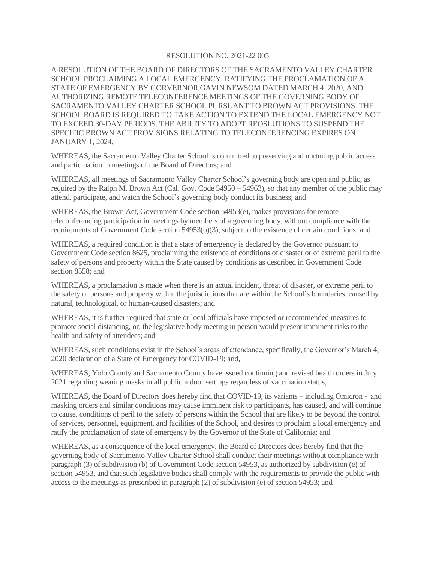#### RESOLUTION NO. 2021-22 005

A RESOLUTION OF THE BOARD OF DIRECTORS OF THE SACRAMENTO VALLEY CHARTER SCHOOL PROCLAIMING A LOCAL EMERGENCY, RATIFYING THE PROCLAMATION OF A STATE OF EMERGENCY BY GORVERNOR GAVIN NEWSOM DATED MARCH 4, 2020, AND AUTHORIZING REMOTE TELECONFERENCE MEETINGS OF THE GOVERNING BODY OF SACRAMENTO VALLEY CHARTER SCHOOL PURSUANT TO BROWN ACT PROVISIONS. THE SCHOOL BOARD IS REQUIRED TO TAKE ACTION TO EXTEND THE LOCAL EMERGENCY NOT TO EXCEED 30-DAY PERIODS. THE ABILITY TO ADOPT REOSLUTIONS TO SUSPEND THE SPECIFIC BROWN ACT PROVISIONS RELATING TO TELECONFERENCING EXPIRES ON JANUARY 1, 2024.

WHEREAS, the Sacramento Valley Charter School is committed to preserving and nurturing public access and participation in meetings of the Board of Directors; and

WHEREAS, all meetings of Sacramento Valley Charter School's governing body are open and public, as required by the Ralph M. Brown Act (Cal. Gov. Code 54950 – 54963), so that any member of the public may attend, participate, and watch the School's governing body conduct its business; and

WHEREAS, the Brown Act, Government Code section 54953(e), makes provisions for remote teleconferencing participation in meetings by members of a governing body, without compliance with the requirements of Government Code section 54953(b)(3), subject to the existence of certain conditions; and

WHEREAS, a required condition is that a state of emergency is declared by the Governor pursuant to Government Code section 8625, proclaiming the existence of conditions of disaster or of extreme peril to the safety of persons and property within the State caused by conditions as described in Government Code section 8558; and

WHEREAS, a proclamation is made when there is an actual incident, threat of disaster, or extreme peril to the safety of persons and property within the jurisdictions that are within the School's boundaries, caused by natural, technological, or human-caused disasters; and

WHEREAS, it is further required that state or local officials have imposed or recommended measures to promote social distancing, or, the legislative body meeting in person would present imminent risks to the health and safety of attendees; and

WHEREAS, such conditions exist in the School's areas of attendance, specifically, the Governor's March 4, 2020 declaration of a State of Emergency for COVID-19; and,

WHEREAS, Yolo County and Sacramento County have issued continuing and revised health orders in July 2021 regarding wearing masks in all public indoor settings regardless of vaccination status,

WHEREAS, the Board of Directors does hereby find that COVID-19, its variants – including Omicron - and masking orders and similar conditions may cause imminent risk to participants, has caused, and will continue to cause, conditions of peril to the safety of persons within the School that are likely to be beyond the control of services, personnel, equipment, and facilities of the School, and desires to proclaim a local emergency and ratify the proclamation of state of emergency by the Governor of the State of California; and

WHEREAS, as a consequence of the local emergency, the Board of Directors does hereby find that the governing body of Sacramento Valley Charter School shall conduct their meetings without compliance with paragraph (3) of subdivision (b) of Government Code section 54953, as authorized by subdivision (e) of section 54953, and that such legislative bodies shall comply with the requirements to provide the public with access to the meetings as prescribed in paragraph (2) of subdivision (e) of section 54953; and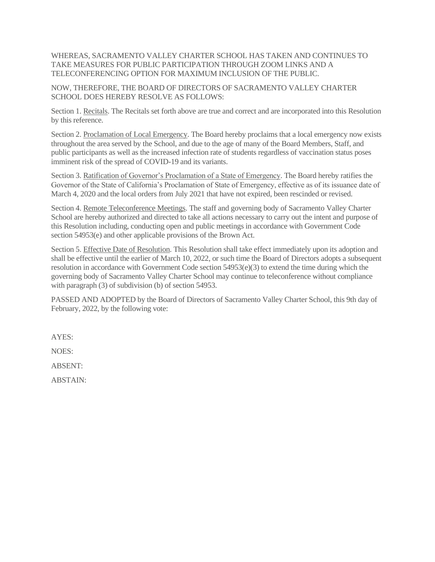WHEREAS, SACRAMENTO VALLEY CHARTER SCHOOL HAS TAKEN AND CONTINUES TO TAKE MEASURES FOR PUBLIC PARTICIPATION THROUGH ZOOM LINKS AND A TELECONFERENCING OPTION FOR MAXIMUM INCLUSION OF THE PUBLIC.

NOW, THEREFORE, THE BOARD OF DIRECTORS OF SACRAMENTO VALLEY CHARTER SCHOOL DOES HEREBY RESOLVE AS FOLLOWS:

Section 1. Recitals. The Recitals set forth above are true and correct and are incorporated into this Resolution by this reference.

Section 2. Proclamation of Local Emergency. The Board hereby proclaims that a local emergency now exists throughout the area served by the School, and due to the age of many of the Board Members, Staff, and public participants as well as the increased infection rate of students regardless of vaccination status poses imminent risk of the spread of COVID-19 and its variants.

Section 3. Ratification of Governor's Proclamation of a State of Emergency. The Board hereby ratifies the Governor of the State of California's Proclamation of State of Emergency, effective as of its issuance date of March 4, 2020 and the local orders from July 2021 that have not expired, been rescinded or revised.

Section 4. Remote Teleconference Meetings. The staff and governing body of Sacramento Valley Charter School are hereby authorized and directed to take all actions necessary to carry out the intent and purpose of this Resolution including, conducting open and public meetings in accordance with Government Code section 54953(e) and other applicable provisions of the Brown Act.

Section 5. Effective Date of Resolution. This Resolution shall take effect immediately upon its adoption and shall be effective until the earlier of March 10, 2022, or such time the Board of Directors adopts a subsequent resolution in accordance with Government Code section 54953(e)(3) to extend the time during which the governing body of Sacramento Valley Charter School may continue to teleconference without compliance with paragraph (3) of subdivision (b) of section 54953.

PASSED AND ADOPTED by the Board of Directors of Sacramento Valley Charter School, this 9th day of February, 2022, by the following vote:

AYES:

NOES:

ABSENT:

ABSTAIN: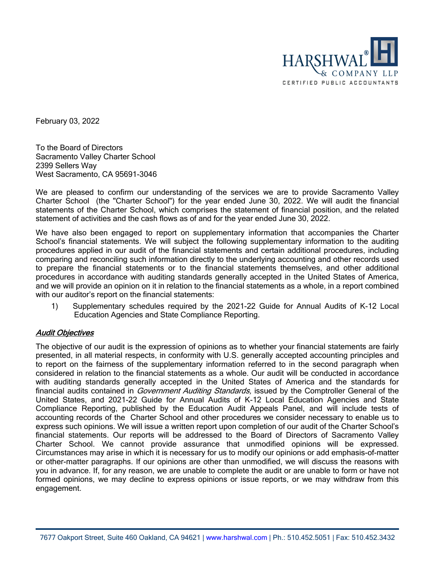

February 03, 2022

To the Board of Directors Sacramento Valley Charter School 2399 Sellers Way West Sacramento, CA 95691-3046

We are pleased to confirm our understanding of the services we are to provide Sacramento Valley Charter School (the "Charter School") for the year ended June 30, 2022. We will audit the financial statements of the Charter School, which comprises the statement of financial position, and the related statement of activities and the cash flows as of and for the year ended June 30, 2022.

We have also been engaged to report on supplementary information that accompanies the Charter School's financial statements. We will subject the following supplementary information to the auditing procedures applied in our audit of the financial statements and certain additional procedures, including comparing and reconciling such information directly to the underlying accounting and other records used to prepare the financial statements or to the financial statements themselves, and other additional procedures in accordance with auditing standards generally accepted in the United States of America, and we will provide an opinion on it in relation to the financial statements as a whole, in a report combined with our auditor's report on the financial statements:

1) Supplementary schedules required by the 2021-22 Guide for Annual Audits of K-12 Local Education Agencies and State Compliance Reporting.

#### Audit Objectives

The objective of our audit is the expression of opinions as to whether your financial statements are fairly presented, in all material respects, in conformity with U.S. generally accepted accounting principles and to report on the fairness of the supplementary information referred to in the second paragraph when considered in relation to the financial statements as a whole. Our audit will be conducted in accordance with auditing standards generally accepted in the United States of America and the standards for financial audits contained in *Government Auditing Standards*, issued by the Comptroller General of the United States, and 2021-22 Guide for Annual Audits of K-12 Local Education Agencies and State Compliance Reporting, published by the Education Audit Appeals Panel, and will include tests of accounting records of the Charter School and other procedures we consider necessary to enable us to express such opinions. We will issue a written report upon completion of our audit of the Charter School's financial statements. Our reports will be addressed to the Board of Directors of Sacramento Valley Charter School. We cannot provide assurance that unmodified opinions will be expressed. Circumstances may arise in which it is necessary for us to modify our opinions or add emphasis-of-matter or other-matter paragraphs. If our opinions are other than unmodified, we will discuss the reasons with you in advance. If, for any reason, we are unable to complete the audit or are unable to form or have not formed opinions, we may decline to express opinions or issue reports, or we may withdraw from this engagement.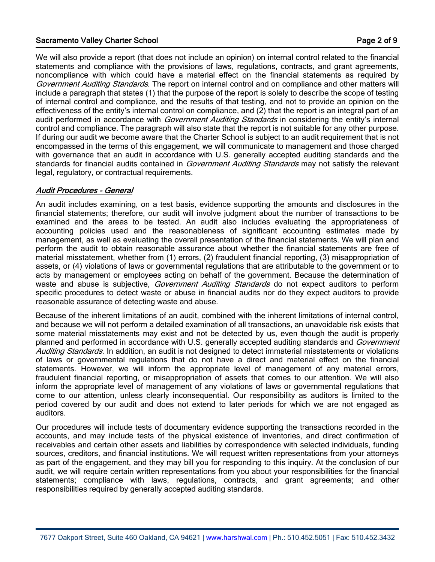#### Sacramento Valley Charter School **Page 2 of 9** and 2 of 9

We will also provide a report (that does not include an opinion) on internal control related to the financial statements and compliance with the provisions of laws, regulations, contracts, and grant agreements, noncompliance with which could have a material effect on the financial statements as required by Government Auditing Standards. The report on internal control and on compliance and other matters will include a paragraph that states (1) that the purpose of the report is solely to describe the scope of testing of internal control and compliance, and the results of that testing, and not to provide an opinion on the effectiveness of the entity's internal control on compliance, and (2) that the report is an integral part of an audit performed in accordance with *Government Auditing Standards* in considering the entity's internal control and compliance. The paragraph will also state that the report is not suitable for any other purpose. If during our audit we become aware that the Charter School is subject to an audit requirement that is not encompassed in the terms of this engagement, we will communicate to management and those charged with governance that an audit in accordance with U.S. generally accepted auditing standards and the standards for financial audits contained in *Government Auditing Standards* may not satisfy the relevant legal, regulatory, or contractual requirements.

#### Audit Procedures - General

An audit includes examining, on a test basis, evidence supporting the amounts and disclosures in the financial statements; therefore, our audit will involve judgment about the number of transactions to be examined and the areas to be tested. An audit also includes evaluating the appropriateness of accounting policies used and the reasonableness of significant accounting estimates made by management, as well as evaluating the overall presentation of the financial statements. We will plan and perform the audit to obtain reasonable assurance about whether the financial statements are free of material misstatement, whether from (1) errors, (2) fraudulent financial reporting, (3) misappropriation of assets, or (4) violations of laws or governmental regulations that are attributable to the government or to acts by management or employees acting on behalf of the government. Because the determination of waste and abuse is subjective, *Government Auditing Standards* do not expect auditors to perform specific procedures to detect waste or abuse in financial audits nor do they expect auditors to provide reasonable assurance of detecting waste and abuse.

Because of the inherent limitations of an audit, combined with the inherent limitations of internal control, and because we will not perform a detailed examination of all transactions, an unavoidable risk exists that some material misstatements may exist and not be detected by us, even though the audit is properly planned and performed in accordance with U.S. generally accepted auditing standards and Government Auditing Standards. In addition, an audit is not designed to detect immaterial misstatements or violations of laws or governmental regulations that do not have a direct and material effect on the financial statements. However, we will inform the appropriate level of management of any material errors, fraudulent financial reporting, or misappropriation of assets that comes to our attention. We will also inform the appropriate level of management of any violations of laws or governmental regulations that come to our attention, unless clearly inconsequential. Our responsibility as auditors is limited to the period covered by our audit and does not extend to later periods for which we are not engaged as auditors.

Our procedures will include tests of documentary evidence supporting the transactions recorded in the accounts, and may include tests of the physical existence of inventories, and direct confirmation of receivables and certain other assets and liabilities by correspondence with selected individuals, funding sources, creditors, and financial institutions. We will request written representations from your attorneys as part of the engagement, and they may bill you for responding to this inquiry. At the conclusion of our audit, we will require certain written representations from you about your responsibilities for the financial statements; compliance with laws, regulations, contracts, and grant agreements; and other responsibilities required by generally accepted auditing standards.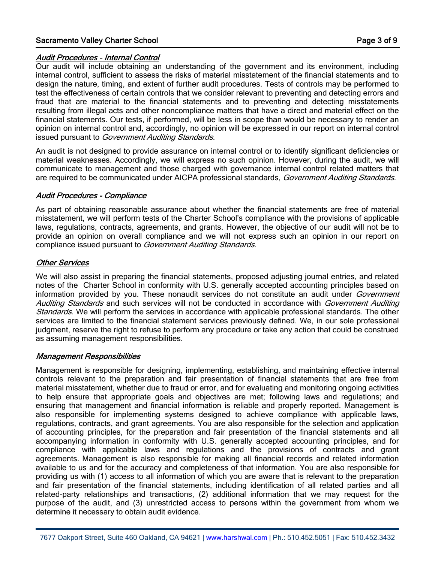#### Sacramento Valley Charter School **Page 3 of 9** and 3 of 9

#### Audit Procedures - Internal Control

Our audit will include obtaining an understanding of the government and its environment, including internal control, sufficient to assess the risks of material misstatement of the financial statements and to design the nature, timing, and extent of further audit procedures. Tests of controls may be performed to test the effectiveness of certain controls that we consider relevant to preventing and detecting errors and fraud that are material to the financial statements and to preventing and detecting misstatements resulting from illegal acts and other noncompliance matters that have a direct and material effect on the financial statements. Our tests, if performed, will be less in scope than would be necessary to render an opinion on internal control and, accordingly, no opinion will be expressed in our report on internal control issued pursuant to Government Auditing Standards.

An audit is not designed to provide assurance on internal control or to identify significant deficiencies or material weaknesses. Accordingly, we will express no such opinion. However, during the audit, we will communicate to management and those charged with governance internal control related matters that are required to be communicated under AICPA professional standards, Government Auditing Standards.

#### Audit Procedures - Compliance

As part of obtaining reasonable assurance about whether the financial statements are free of material misstatement, we will perform tests of the Charter School's compliance with the provisions of applicable laws, regulations, contracts, agreements, and grants. However, the objective of our audit will not be to provide an opinion on overall compliance and we will not express such an opinion in our report on compliance issued pursuant to Government Auditing Standards.

#### Other Services

We will also assist in preparing the financial statements, proposed adjusting journal entries, and related notes of the Charter School in conformity with U.S. generally accepted accounting principles based on information provided by you. These nonaudit services do not constitute an audit under *Government* Auditing Standards and such services will not be conducted in accordance with Government Auditing Standards. We will perform the services in accordance with applicable professional standards. The other services are limited to the financial statement services previously defined. We, in our sole professional judgment, reserve the right to refuse to perform any procedure or take any action that could be construed as assuming management responsibilities.

#### Management Responsibilities

Management is responsible for designing, implementing, establishing, and maintaining effective internal controls relevant to the preparation and fair presentation of financial statements that are free from material misstatement, whether due to fraud or error, and for evaluating and monitoring ongoing activities to help ensure that appropriate goals and objectives are met; following laws and regulations; and ensuring that management and financial information is reliable and properly reported. Management is also responsible for implementing systems designed to achieve compliance with applicable laws, regulations, contracts, and grant agreements. You are also responsible for the selection and application of accounting principles, for the preparation and fair presentation of the financial statements and all accompanying information in conformity with U.S. generally accepted accounting principles, and for compliance with applicable laws and regulations and the provisions of contracts and grant agreements. Management is also responsible for making all financial records and related information available to us and for the accuracy and completeness of that information. You are also responsible for providing us with (1) access to all information of which you are aware that is relevant to the preparation and fair presentation of the financial statements, including identification of all related parties and all related-party relationships and transactions, (2) additional information that we may request for the purpose of the audit, and (3) unrestricted access to persons within the government from whom we determine it necessary to obtain audit evidence.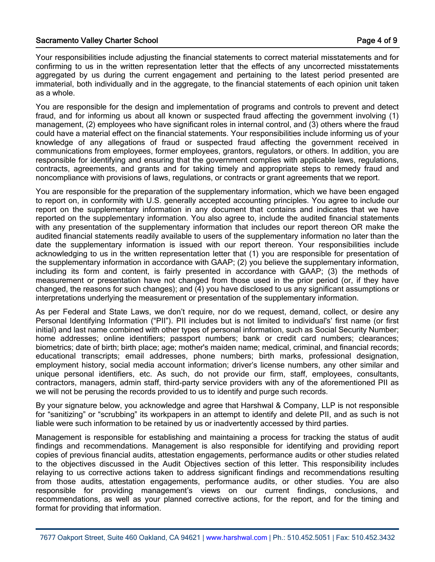#### Sacramento Valley Charter School **Page 4 of 9**

Your responsibilities include adjusting the financial statements to correct material misstatements and for confirming to us in the written representation letter that the effects of any uncorrected misstatements aggregated by us during the current engagement and pertaining to the latest period presented are immaterial, both individually and in the aggregate, to the financial statements of each opinion unit taken as a whole.

You are responsible for the design and implementation of programs and controls to prevent and detect fraud, and for informing us about all known or suspected fraud affecting the government involving (1) management, (2) employees who have significant roles in internal control, and (3) others where the fraud could have a material effect on the financial statements. Your responsibilities include informing us of your knowledge of any allegations of fraud or suspected fraud affecting the government received in communications from employees, former employees, grantors, regulators, or others. In addition, you are responsible for identifying and ensuring that the government complies with applicable laws, regulations, contracts, agreements, and grants and for taking timely and appropriate steps to remedy fraud and noncompliance with provisions of laws, regulations, or contracts or grant agreements that we report.

You are responsible for the preparation of the supplementary information, which we have been engaged to report on, in conformity with U.S. generally accepted accounting principles. You agree to include our report on the supplementary information in any document that contains and indicates that we have reported on the supplementary information. You also agree to, include the audited financial statements with any presentation of the supplementary information that includes our report thereon OR make the audited financial statements readily available to users of the supplementary information no later than the date the supplementary information is issued with our report thereon. Your responsibilities include acknowledging to us in the written representation letter that (1) you are responsible for presentation of the supplementary information in accordance with GAAP; (2) you believe the supplementary information, including its form and content, is fairly presented in accordance with GAAP; (3) the methods of measurement or presentation have not changed from those used in the prior period (or, if they have changed, the reasons for such changes); and (4) you have disclosed to us any significant assumptions or interpretations underlying the measurement or presentation of the supplementary information.

As per Federal and State Laws, we don't require, nor do we request, demand, collect, or desire any Personal Identifying Information ("PII"). PII includes but is not limited to individual's' first name (or first initial) and last name combined with other types of personal information, such as Social Security Number; home addresses; online identifiers; passport numbers; bank or credit card numbers; clearances; biometrics; date of birth; birth place; age; mother's maiden name; medical, criminal, and financial records; educational transcripts; email addresses, phone numbers; birth marks, professional designation, employment history, social media account information; driver's license numbers, any other similar and unique personal identifiers, etc. As such, do not provide our firm, staff, employees, consultants, contractors, managers, admin staff, third-party service providers with any of the aforementioned PII as we will not be perusing the records provided to us to identify and purge such records.

By your signature below, you acknowledge and agree that Harshwal & Company, LLP is not responsible for "sanitizing" or "scrubbing" its workpapers in an attempt to identify and delete PII, and as such is not liable were such information to be retained by us or inadvertently accessed by third parties.

Management is responsible for establishing and maintaining a process for tracking the status of audit findings and recommendations. Management is also responsible for identifying and providing report copies of previous financial audits, attestation engagements, performance audits or other studies related to the objectives discussed in the Audit Objectives section of this letter. This responsibility includes relaying to us corrective actions taken to address significant findings and recommendations resulting from those audits, attestation engagements, performance audits, or other studies. You are also responsible for providing management's views on our current findings, conclusions, and recommendations, as well as your planned corrective actions, for the report, and for the timing and format for providing that information.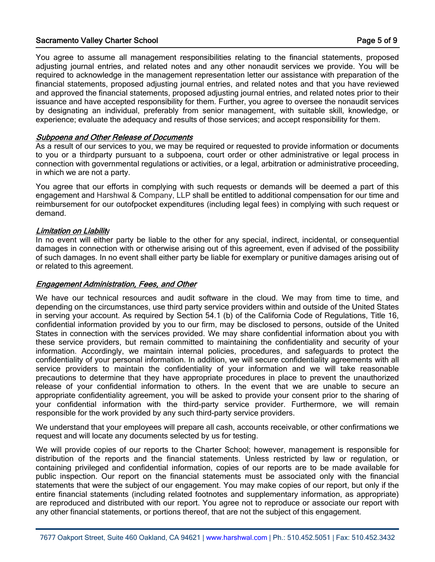#### Sacramento Valley Charter School **Page 5 of 9** and 2008 **Page 5 of 9**

You agree to assume all management responsibilities relating to the financial statements, proposed adjusting journal entries, and related notes and any other nonaudit services we provide. You will be required to acknowledge in the management representation letter our assistance with preparation of the financial statements, proposed adjusting journal entries, and related notes and that you have reviewed and approved the financial statements, proposed adjusting journal entries, and related notes prior to their issuance and have accepted responsibility for them. Further, you agree to oversee the nonaudit services by designating an individual, preferably from senior management, with suitable skill, knowledge, or experience; evaluate the adequacy and results of those services; and accept responsibility for them.

#### Subpoena and Other Release of Documents

As a result of our services to you, we may be required or requested to provide information or documents to you or a thirdparty pursuant to a subpoena, court order or other administrative or legal process in connection with governmental regulations or activities, or a legal, arbitration or administrative proceeding, in which we are not a party.

You agree that our efforts in complying with such requests or demands will be deemed a part of this engagement and Harshwal & Company, LLP shall be entitled to additional compensation for our time and reimbursement for our outofpocket expenditures (including legal fees) in complying with such request or demand.

#### Limitation on Liability

In no event will either party be liable to the other for any special, indirect, incidental, or consequential damages in connection with or otherwise arising out of this agreement, even if advised of the possibility of such damages. In no event shall either party be liable for exemplary or punitive damages arising out of or related to this agreement.

#### Engagement Administration, Fees, and Other

We have our technical resources and audit software in the cloud. We may from time to time, and depending on the circumstances, use third party service providers within and outside of the United States in serving your account. As required by Section 54.1 (b) of the California Code of Regulations, Title 16, confidential information provided by you to our firm, may be disclosed to persons, outside of the United States in connection with the services provided. We may share confidential information about you with these service providers, but remain committed to maintaining the confidentiality and security of your information. Accordingly, we maintain internal policies, procedures, and safeguards to protect the confidentiality of your personal information. In addition, we will secure confidentiality agreements with all service providers to maintain the confidentiality of your information and we will take reasonable precautions to determine that they have appropriate procedures in place to prevent the unauthorized release of your confidential information to others. In the event that we are unable to secure an appropriate confidentiality agreement, you will be asked to provide your consent prior to the sharing of your confidential information with the third-party service provider. Furthermore, we will remain responsible for the work provided by any such third-party service providers.

We understand that your employees will prepare all cash, accounts receivable, or other confirmations we request and will locate any documents selected by us for testing.

We will provide copies of our reports to the Charter School; however, management is responsible for distribution of the reports and the financial statements. Unless restricted by law or regulation, or containing privileged and confidential information, copies of our reports are to be made available for public inspection. Our report on the financial statements must be associated only with the financial statements that were the subject of our engagement. You may make copies of our report, but only if the entire financial statements (including related footnotes and supplementary information, as appropriate) are reproduced and distributed with our report. You agree not to reproduce or associate our report with any other financial statements, or portions thereof, that are not the subject of this engagement.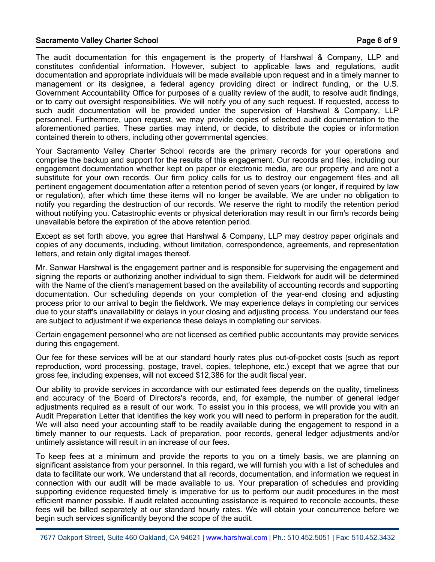#### Sacramento Valley Charter School **Page 6 of 9** and 2008 and 2008 and 2008 and 2008 and 2008 and 2008 and 2008 and 2008 and 2008 and 2008 and 2008 and 2008 and 2008 and 2008 and 2008 and 2008 and 2008 and 2008 and 2008 and

The audit documentation for this engagement is the property of Harshwal & Company, LLP and constitutes confidential information. However, subject to applicable laws and regulations, audit documentation and appropriate individuals will be made available upon request and in a timely manner to management or its designee, a federal agency providing direct or indirect funding, or the U.S. Government Accountability Office for purposes of a quality review of the audit, to resolve audit findings, or to carry out oversight responsibilities. We will notify you of any such request. If requested, access to such audit documentation will be provided under the supervision of Harshwal & Company, LLP personnel. Furthermore, upon request, we may provide copies of selected audit documentation to the aforementioned parties. These parties may intend, or decide, to distribute the copies or information contained therein to others, including other governmental agencies.

Your Sacramento Valley Charter School records are the primary records for your operations and comprise the backup and support for the results of this engagement. Our records and files, including our engagement documentation whether kept on paper or electronic media, are our property and are not a substitute for your own records. Our firm policy calls for us to destroy our engagement files and all pertinent engagement documentation after a retention period of seven years (or longer, if required by law or regulation), after which time these items will no longer be available. We are under no obligation to notify you regarding the destruction of our records. We reserve the right to modify the retention period without notifying you. Catastrophic events or physical deterioration may result in our firm's records being unavailable before the expiration of the above retention period.

Except as set forth above, you agree that Harshwal & Company, LLP may destroy paper originals and copies of any documents, including, without limitation, correspondence, agreements, and representation letters, and retain only digital images thereof.

Mr. Sanwar Harshwal is the engagement partner and is responsible for supervising the engagement and signing the reports or authorizing another individual to sign them. Fieldwork for audit will be determined with the Name of the client's management based on the availability of accounting records and supporting documentation. Our scheduling depends on your completion of the year-end closing and adjusting process prior to our arrival to begin the fieldwork. We may experience delays in completing our services due to your staff's unavailability or delays in your closing and adjusting process. You understand our fees are subject to adjustment if we experience these delays in completing our services.

Certain engagement personnel who are not licensed as certified public accountants may provide services during this engagement.

Our fee for these services will be at our standard hourly rates plus out-of-pocket costs (such as report reproduction, word processing, postage, travel, copies, telephone, etc.) except that we agree that our gross fee, including expenses, will not exceed \$12,386 for the audit fiscal year.

Our ability to provide services in accordance with our estimated fees depends on the quality, timeliness and accuracy of the Board of Directors's records, and, for example, the number of general ledger adjustments required as a result of our work. To assist you in this process, we will provide you with an Audit Preparation Letter that identifies the key work you will need to perform in preparation for the audit. We will also need your accounting staff to be readily available during the engagement to respond in a timely manner to our requests. Lack of preparation, poor records, general ledger adjustments and/or untimely assistance will result in an increase of our fees.

To keep fees at a minimum and provide the reports to you on a timely basis, we are planning on significant assistance from your personnel. In this regard, we will furnish you with a list of schedules and data to facilitate our work. We understand that all records, documentation, and information we request in connection with our audit will be made available to us. Your preparation of schedules and providing supporting evidence requested timely is imperative for us to perform our audit procedures in the most efficient manner possible. If audit related accounting assistance is required to reconcile accounts, these fees will be billed separately at our standard hourly rates. We will obtain your concurrence before we begin such services significantly beyond the scope of the audit.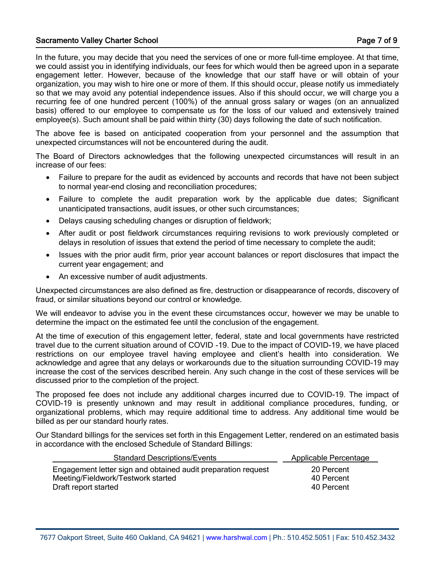#### Sacramento Valley Charter School **Page 7 of 9** and 2008 **Page 7 of 9**

In the future, you may decide that you need the services of one or more full-time employee. At that time, we could assist you in identifying individuals, our fees for which would then be agreed upon in a separate engagement letter. However, because of the knowledge that our staff have or will obtain of your organization, you may wish to hire one or more of them. If this should occur, please notify us immediately so that we may avoid any potential independence issues. Also if this should occur, we will charge you a recurring fee of one hundred percent (100%) of the annual gross salary or wages (on an annualized basis) offered to our employee to compensate us for the loss of our valued and extensively trained employee(s). Such amount shall be paid within thirty (30) days following the date of such notification.

The above fee is based on anticipated cooperation from your personnel and the assumption that unexpected circumstances will not be encountered during the audit.

The Board of Directors acknowledges that the following unexpected circumstances will result in an increase of our fees:

- Failure to prepare for the audit as evidenced by accounts and records that have not been subject to normal year-end closing and reconciliation procedures;
- Failure to complete the audit preparation work by the applicable due dates; Significant unanticipated transactions, audit issues, or other such circumstances;
- Delays causing scheduling changes or disruption of fieldwork;
- After audit or post fieldwork circumstances requiring revisions to work previously completed or delays in resolution of issues that extend the period of time necessary to complete the audit;
- Issues with the prior audit firm, prior year account balances or report disclosures that impact the current year engagement; and
- An excessive number of audit adjustments.

Unexpected circumstances are also defined as fire, destruction or disappearance of records, discovery of fraud, or similar situations beyond our control or knowledge.

We will endeavor to advise you in the event these circumstances occur, however we may be unable to determine the impact on the estimated fee until the conclusion of the engagement.

At the time of execution of this engagement letter, federal, state and local governments have restricted travel due to the current situation around of COVID -19. Due to the impact of COVID-19, we have placed restrictions on our employee travel having employee and client's health into consideration. We acknowledge and agree that any delays or workarounds due to the situation surrounding COVID-19 may increase the cost of the services described herein. Any such change in the cost of these services will be discussed prior to the completion of the project.

The proposed fee does not include any additional charges incurred due to COVID-19. The impact of COVID-19 is presently unknown and may result in additional compliance procedures, funding, or organizational problems, which may require additional time to address. Any additional time would be billed as per our standard hourly rates.

Our Standard billings for the services set forth in this Engagement Letter, rendered on an estimated basis in accordance with the enclosed Schedule of Standard Billings:

| <b>Standard Descriptions/Events</b><br>Applicable Percentage                                                                                                          |  |
|-----------------------------------------------------------------------------------------------------------------------------------------------------------------------|--|
| Engagement letter sign and obtained audit preparation request<br>20 Percent<br>Meeting/Fieldwork/Testwork started<br>40 Percent<br>40 Percent<br>Draft report started |  |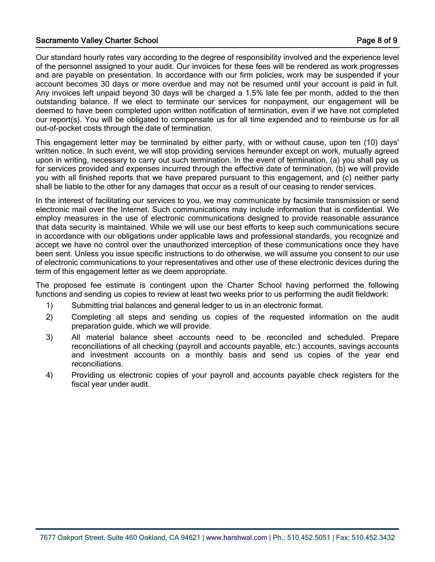#### Sacramento Valley Charter School **Page 8 of 9** and 2008 and 2008 and 2008 and 2008 and 2008 and 2008 and 2008 and 2008 and 2008 and 2008 and 2008 and 2008 and 2008 and 2008 and 2008 and 2008 and 2008 and 2008 and 2008 and

Our standard hourly rates vary according to the degree of responsibility involved and the experience level of the personnel assigned to your audit. Our invoices for these fees will be rendered as work progresses and are payable on presentation. In accordance with our firm policies, work may be suspended if your account becomes 30 days or more overdue and may not be resumed until your account is paid in full. Any invoices left unpaid beyond 30 days will be charged a 1.5% late fee per month, added to the then outstanding balance. If we elect to terminate our services for nonpayment, our engagement will be deemed to have been completed upon written notification of termination, even if we have not completed our report(s). You will be obligated to compensate us for all time expended and to reimburse us for all out-of-pocket costs through the date of termination.

This engagement letter may be terminated by either party, with or without cause, upon ten (10) days' written notice. In such event, we will stop providing services hereunder except on work, mutually agreed upon in writing, necessary to carry out such termination. In the event of termination, (a) you shall pay us for services provided and expenses incurred through the effective date of termination, (b) we will provide you with all finished reports that we have prepared pursuant to this engagement, and (c) neither party shall be liable to the other for any damages that occur as a result of our ceasing to render services.

In the interest of facilitating our services to you, we may communicate by facsimile transmission or send electronic mail over the Internet. Such communications may include information that is confidential. We employ measures in the use of electronic communications designed to provide reasonable assurance that data security is maintained. While we will use our best efforts to keep such communications secure in accordance with our obligations under applicable laws and professional standards, you recognize and accept we have no control over the unauthorized interception of these communications once they have been sent. Unless you issue specific instructions to do otherwise, we will assume you consent to our use of electronic communications to your representatives and other use of these electronic devices during the term of this engagement letter as we deem appropriate.

The proposed fee estimate is contingent upon the Charter School having performed the following functions and sending us copies to review at least two weeks prior to us performing the audit fieldwork:

- 1) Submitting trial balances and general ledger to us in an electronic format.
- 2) Completing all steps and sending us copies of the requested information on the audit preparation guide, which we will provide.
- 3) All material balance sheet accounts need to be reconciled and scheduled. Prepare reconciliations of all checking (payroll and accounts payable, etc.) accounts, savings accounts and investment accounts on a monthly basis and send us copies of the year end reconciliations.
- 4) Providing us electronic copies of your payroll and accounts payable check registers for the fiscal year under audit.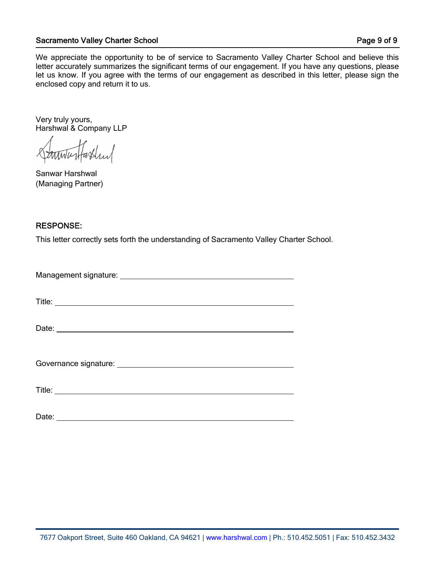#### Sacramento Valley Charter School **Page 9 of 9**

We appreciate the opportunity to be of service to Sacramento Valley Charter School and believe this letter accurately summarizes the significant terms of our engagement. If you have any questions, please let us know. If you agree with the terms of our engagement as described in this letter, please sign the enclosed copy and return it to us.

Very truly yours, Harshwal & Company LLP

Sanwar Harshwal (Managing Partner)

#### RESPONSE:

This letter correctly sets forth the understanding of Sacramento Valley Charter School.

| Title: <u>the contract of the contract of the contract of the contract of the contract of the contract of the contract of the contract of the contract of the contract of the contract of the contract of the contract of the co</u> |
|--------------------------------------------------------------------------------------------------------------------------------------------------------------------------------------------------------------------------------------|
| Date:                                                                                                                                                                                                                                |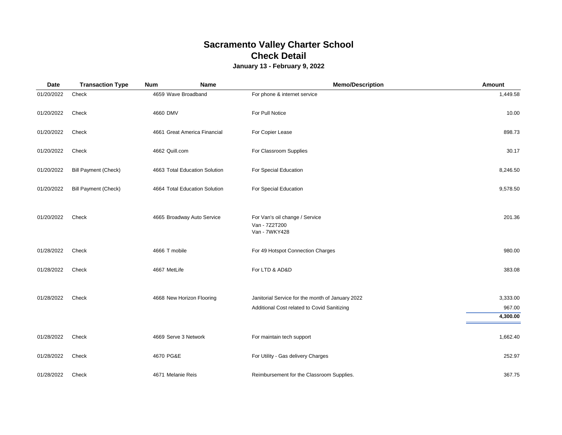# **Sacramento Valley Charter School Check Detail**

## **January 13 - February 9, 2022**

| <b>Date</b> | <b>Transaction Type</b>     | <b>Num</b><br>Name            | <b>Memo/Description</b>                                                                         | Amount                         |
|-------------|-----------------------------|-------------------------------|-------------------------------------------------------------------------------------------------|--------------------------------|
| 01/20/2022  | Check                       | 4659 Wave Broadband           | For phone & internet service                                                                    | 1,449.58                       |
| 01/20/2022  | Check                       | 4660 DMV                      | For Pull Notice                                                                                 | 10.00                          |
| 01/20/2022  | Check                       | 4661 Great America Financial  | For Copier Lease                                                                                | 898.73                         |
| 01/20/2022  | Check                       | 4662 Quill.com                | For Classroom Supplies                                                                          | 30.17                          |
| 01/20/2022  | <b>Bill Payment (Check)</b> | 4663 Total Education Solution | For Special Education                                                                           | 8,246.50                       |
| 01/20/2022  | <b>Bill Payment (Check)</b> | 4664 Total Education Solution | For Special Education                                                                           | 9,578.50                       |
| 01/20/2022  | Check                       | 4665 Broadway Auto Service    | For Van's oil change / Service<br>Van - 7Z2T200<br>Van - 7WKY428                                | 201.36                         |
| 01/28/2022  | Check                       | 4666 T mobile                 | For 49 Hotspot Connection Charges                                                               | 980.00                         |
| 01/28/2022  | Check                       | 4667 MetLife                  | For LTD & AD&D                                                                                  | 383.08                         |
| 01/28/2022  | Check                       | 4668 New Horizon Flooring     | Janitorial Service for the month of January 2022<br>Additional Cost related to Covid Sanitizing | 3,333.00<br>967.00<br>4,300.00 |
| 01/28/2022  | Check                       | 4669 Serve 3 Network          | For maintain tech support                                                                       | 1,662.40                       |
| 01/28/2022  | Check                       | 4670 PG&E                     | For Utility - Gas delivery Charges                                                              | 252.97                         |
| 01/28/2022  | Check                       | 4671 Melanie Reis             | Reimbursement for the Classroom Supplies.                                                       | 367.75                         |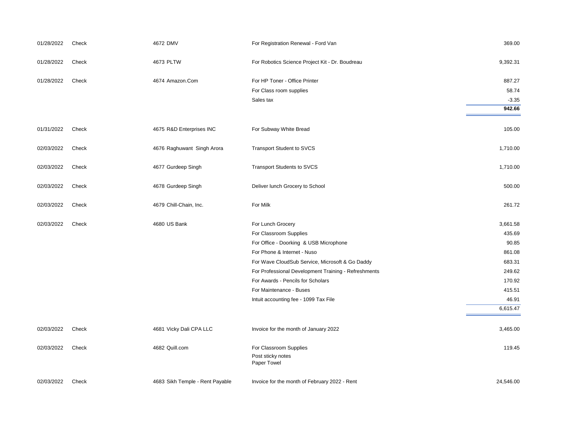| 01/28/2022 | Check | 4672 DMV                        | For Registration Renewal - Ford Van                        | 369.00    |
|------------|-------|---------------------------------|------------------------------------------------------------|-----------|
| 01/28/2022 | Check | 4673 PLTW                       | For Robotics Science Project Kit - Dr. Boudreau            | 9,392.31  |
| 01/28/2022 | Check | 4674 Amazon.Com                 | For HP Toner - Office Printer                              | 887.27    |
|            |       |                                 | For Class room supplies                                    | 58.74     |
|            |       |                                 | Sales tax                                                  | $-3.35$   |
|            |       |                                 |                                                            | 942.66    |
| 01/31/2022 | Check | 4675 R&D Enterprises INC        | For Subway White Bread                                     | 105.00    |
| 02/03/2022 | Check | 4676 Raghuwant Singh Arora      | <b>Transport Student to SVCS</b>                           | 1,710.00  |
| 02/03/2022 | Check | 4677 Gurdeep Singh              | <b>Transport Students to SVCS</b>                          | 1,710.00  |
| 02/03/2022 | Check | 4678 Gurdeep Singh              | Deliver lunch Grocery to School                            | 500.00    |
| 02/03/2022 | Check | 4679 Chill-Chain, Inc.          | For Milk                                                   | 261.72    |
| 02/03/2022 | Check | 4680 US Bank                    | For Lunch Grocery                                          | 3,661.58  |
|            |       |                                 | For Classroom Supplies                                     | 435.69    |
|            |       |                                 | For Office - Doorking & USB Microphone                     | 90.85     |
|            |       |                                 | For Phone & Internet - Nuso                                | 861.08    |
|            |       |                                 | For Wave CloudSub Service, Microsoft & Go Daddy            | 683.31    |
|            |       |                                 | For Professional Development Training - Refreshments       | 249.62    |
|            |       |                                 | For Awards - Pencils for Scholars                          | 170.92    |
|            |       |                                 | For Maintenance - Buses                                    | 415.51    |
|            |       |                                 | Intuit accounting fee - 1099 Tax File                      | 46.91     |
|            |       |                                 |                                                            | 6,615.47  |
| 02/03/2022 | Check | 4681 Vicky Dali CPA LLC         | Invoice for the month of January 2022                      | 3,465.00  |
| 02/03/2022 | Check | 4682 Quill.com                  | For Classroom Supplies<br>Post sticky notes<br>Paper Towel | 119.45    |
| 02/03/2022 | Check | 4683 Sikh Temple - Rent Payable | Invoice for the month of February 2022 - Rent              | 24,546.00 |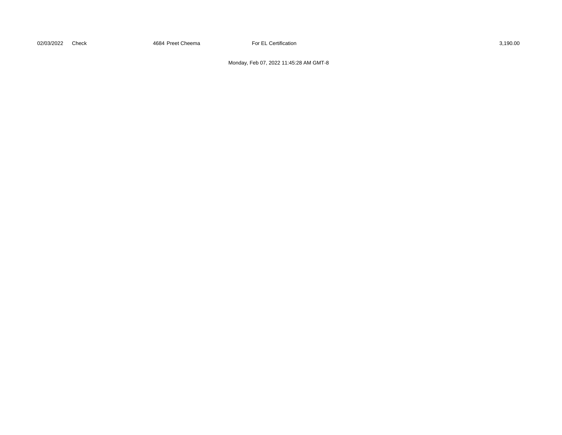02/03/2022 Check 3,190.00 4684 Preet Cheema For EL Certification 3,190.00 3,190.00

Monday, Feb 07, 2022 11:45:28 AM GMT-8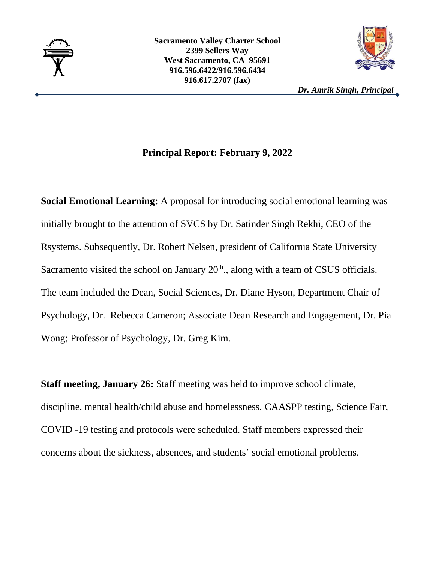



*Dr. Amrik Singh, Principal*

## **Principal Report: February 9, 2022**

**Social Emotional Learning:** A proposal for introducing social emotional learning was initially brought to the attention of SVCS by Dr. Satinder Singh Rekhi, CEO of the Rsystems. Subsequently, Dr. Robert Nelsen, president of California State University Sacramento visited the school on January  $20<sup>th</sup>$ , along with a team of CSUS officials. The team included the Dean, Social Sciences, Dr. Diane Hyson, Department Chair of Psychology, Dr. Rebecca Cameron; Associate Dean Research and Engagement, Dr. Pia Wong; Professor of Psychology, Dr. Greg Kim.

**Staff meeting, January 26:** Staff meeting was held to improve school climate, discipline, mental health/child abuse and homelessness. CAASPP testing, Science Fair, COVID -19 testing and protocols were scheduled. Staff members expressed their concerns about the sickness, absences, and students' social emotional problems.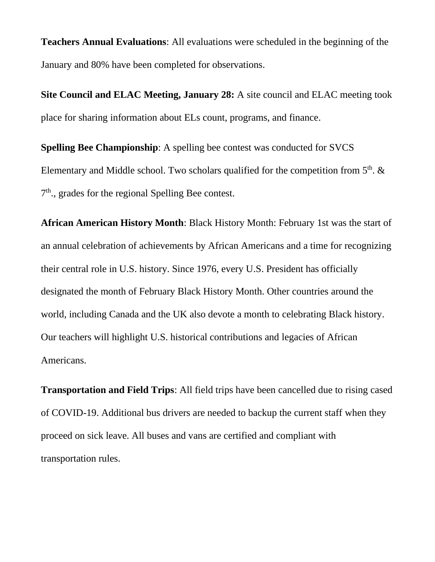**Teachers Annual Evaluations**: All evaluations were scheduled in the beginning of the January and 80% have been completed for observations.

**Site Council and ELAC Meeting, January 28:** A site council and ELAC meeting took place for sharing information about ELs count, programs, and finance.

**Spelling Bee Championship:** A spelling bee contest was conducted for SVCS Elementary and Middle school. Two scholars qualified for the competition from  $5<sup>th</sup>$ . & 7<sup>th</sup>., grades for the regional Spelling Bee contest.

**African American History Month**: Black History Month: February 1st was the start of an annual celebration of achievements by African Americans and a time for recognizing their central role in U.S. history. Since 1976, every U.S. President has officially designated the month of February Black History Month. Other countries around the world, including Canada and the UK also devote a month to celebrating Black history. Our teachers will highlight U.S. historical contributions and legacies of African Americans.

**Transportation and Field Trips**: All field trips have been cancelled due to rising cased of COVID-19. Additional bus drivers are needed to backup the current staff when they proceed on sick leave. All buses and vans are certified and compliant with transportation rules.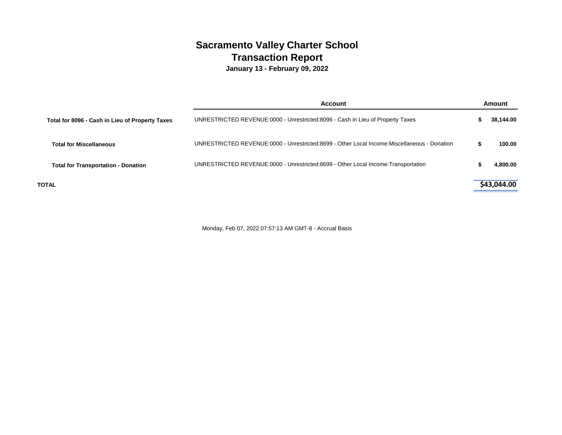# **Sacramento Valley Charter School Transaction Report**

**January 13 - February 09, 2022**

|                                                 | Account                                                                                     | Amount      |
|-------------------------------------------------|---------------------------------------------------------------------------------------------|-------------|
| Total for 8096 - Cash in Lieu of Property Taxes | UNRESTRICTED REVENUE:0000 - Unrestricted:8096 - Cash in Lieu of Property Taxes              | 38.144.00   |
| <b>Total for Miscellaneous</b>                  | UNRESTRICTED REVENUE:0000 - Unrestricted:8699 - Other Local Income:Miscellaneous - Donation | 100.00      |
| <b>Total for Transportation - Donation</b>      | UNRESTRICTED REVENUE:0000 - Unrestricted:8699 - Other Local Income:Transportation           | 4.800.00    |
| <b>TOTAL</b>                                    |                                                                                             | \$43,044.00 |

Monday, Feb 07, 2022 07:57:13 AM GMT-8 - Accrual Basis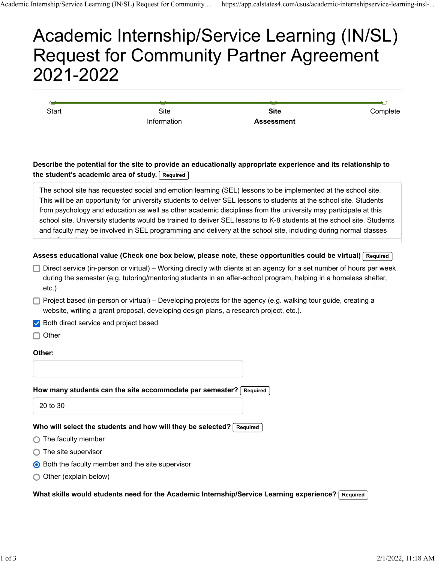# Academic Internship/Service Learning (IN/SL) Request for Community Partner Agreement 2021-2022

Start Start Site Information

**Site Assessment** **Complete** 

### **Describe the potential for the site to provide an educationally appropriate experience and its relationship to the student's academic area of study. Required**

The school site has requested social and emotion learning (SEL) lessons to be implemented at the school site. This will be an opportunity for university students to deliver SEL lessons to students at the school site. Students from psychology and education as well as other academic disciplines from the university may participate at this school site. University students would be trained to deliver SEL lessons to K-8 students at the school site. Students and faculty may be involved in SEL programming and delivery at the school site, including during normal classes

**Assess educational value (Check one box below, please note, these opportunities could be virtual) Required**

- $\Box$  Direct service (in-person or virtual) Working directly with clients at an agency for a set number of hours per week during the semester (e.g. tutoring/mentoring students in an after-school program, helping in a homeless shelter, etc.)
- Project based (in-person or virtual) Developing projects for the agency (e.g. walking tour guide, creating a website, writing a grant proposal, developing design plans, a research project, etc.).
- Both direct service and project based

 $\Box$  Other

d ft h l

#### **Other:**

#### **How many students can the site accommodate per semester? Required**

20 to 30

#### Who will select the students and how will they be selected? Required

- $\bigcirc$  The faculty member
- $\bigcirc$  The site supervisor
- **◯ Both the faculty member and the site supervisor**
- $\bigcirc$  Other (explain below)

What skills would students need for the Academic Internship/Service Learning experience? Required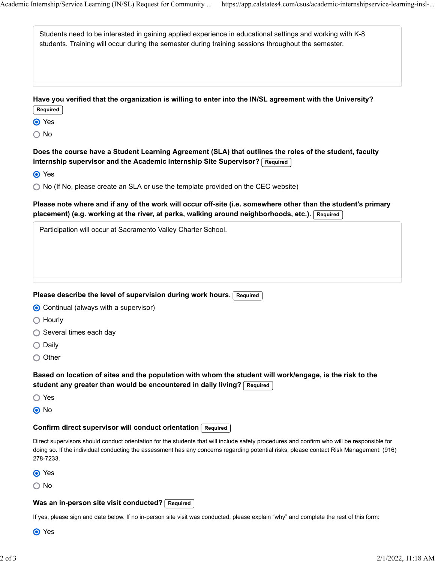| Students need to be interested in gaining applied experience in educational settings and working with K-8<br>students. Training will occur during the semester during training sessions throughout the semester. |  |
|------------------------------------------------------------------------------------------------------------------------------------------------------------------------------------------------------------------|--|
| Have you verified that the organization is willing to enter into the IN/SL agreement with the University?<br>Required                                                                                            |  |
| O Yes                                                                                                                                                                                                            |  |
| $\bigcirc$ No                                                                                                                                                                                                    |  |

**Does the course have a Student Learning Agreement (SLA) that outlines the roles of the student, faculty internship supervisor and the Academic Internship Site Supervisor? Required**

**⊙** Yes

◯ No (If No, please create an SLA or use the template provided on the CEC website)

**Please note where and if any of the work will occur off-site (i.e. somewhere other than the student's primary placement) (e.g. working at the river, at parks, walking around neighborhoods, etc.). Required**

Participation will occur at Sacramento Valley Charter School.

#### Please describe the level of supervision during work hours. Required

| ◯ Continual (always with a supervisor) |
|----------------------------------------|
|----------------------------------------|

- O Hourly
- $\bigcirc$  Several times each day
- $\bigcirc$  Daily
- $\bigcirc$  Other

**Based on location of sites and the population with whom the student will work/engage, is the risk to the** student any greater than would be encountered in daily living? Required

- ◯ Yes
- O No

#### **Confirm direct supervisor will conduct orientation Required**

Direct supervisors should conduct orientation for the students that will include safety procedures and confirm who will be responsible for doing so. If the individual conducting the assessment has any concerns regarding potential risks, please contact Risk Management: (916) 278-7233.

**O** Yes

○ No

#### **Was an in-person site visit conducted?** Required

If yes, please sign and date below. If no in-person site visit was conducted, please explain "why" and complete the rest of this form:

O Yes